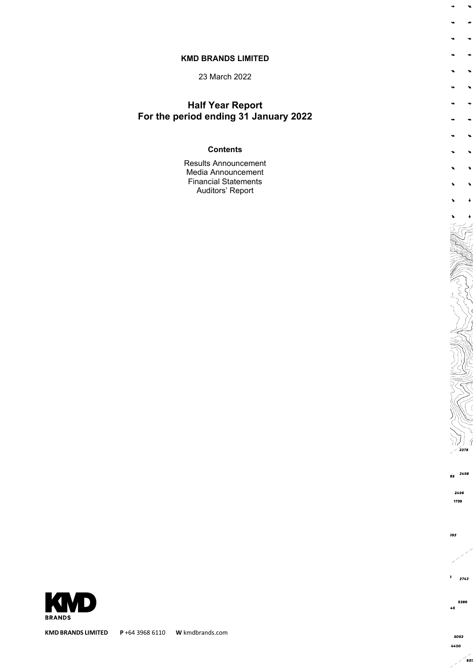#### **KMD BRANDS LIMITED**

23 March 2022

## **Half Year Report For the period ending 31 January 2022**

#### **Contents**

Results Announcement Media Announcement Financial Statements Auditors' Report



 $\ddot{\phantom{1}}$  $\rightarrow$ 

 $\rightarrow$ 

 $\ddot{\phantom{1}}$ 

 $\ddot{\phantom{1}}$  $\rightarrow$ 

 $\rightarrow$ 

 $\ddot{\phantom{1}}$ 

 $\ddot{\phantom{1}}$ 

 $\lambda$ 

 $\mathbf{v}$  $\ddot{\phantom{0}}$ 

 $\ddot{\bullet}$ 

1739

85 2498

2496

992

 $\overline{\phantom{a}}$ 2743

5386 46

> 5053 4400

> > $\epsilon$ <sub>50</sub>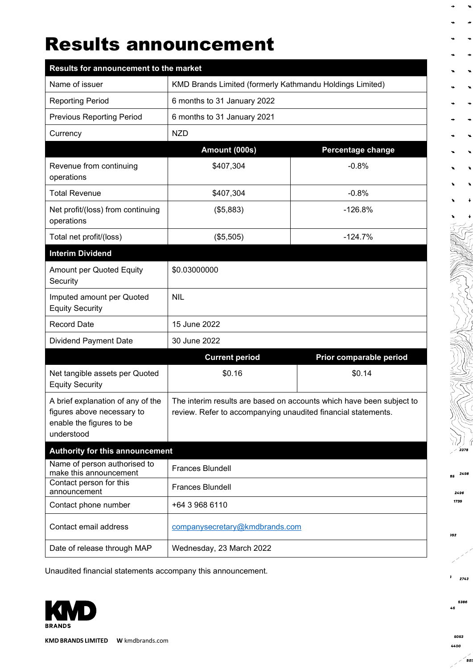## Results announcement

| Results for announcement to the market                                                                    |                                                                                                                                       |                         |  |  |  |
|-----------------------------------------------------------------------------------------------------------|---------------------------------------------------------------------------------------------------------------------------------------|-------------------------|--|--|--|
| Name of issuer                                                                                            | KMD Brands Limited (formerly Kathmandu Holdings Limited)                                                                              |                         |  |  |  |
| <b>Reporting Period</b>                                                                                   | 6 months to 31 January 2022                                                                                                           |                         |  |  |  |
| <b>Previous Reporting Period</b>                                                                          | 6 months to 31 January 2021                                                                                                           |                         |  |  |  |
| Currency                                                                                                  | <b>NZD</b>                                                                                                                            |                         |  |  |  |
|                                                                                                           | Amount (000s)                                                                                                                         | Percentage change       |  |  |  |
| Revenue from continuing<br>operations                                                                     | \$407,304                                                                                                                             | $-0.8%$                 |  |  |  |
| <b>Total Revenue</b>                                                                                      | \$407,304                                                                                                                             | $-0.8%$                 |  |  |  |
| Net profit/(loss) from continuing<br>operations                                                           | (\$5,883)                                                                                                                             | $-126.8%$               |  |  |  |
| Total net profit/(loss)                                                                                   | (\$5,505)                                                                                                                             | $-124.7%$               |  |  |  |
| <b>Interim Dividend</b>                                                                                   |                                                                                                                                       |                         |  |  |  |
| Amount per Quoted Equity<br>Security                                                                      | \$0.03000000                                                                                                                          |                         |  |  |  |
| Imputed amount per Quoted<br><b>Equity Security</b>                                                       | <b>NIL</b>                                                                                                                            |                         |  |  |  |
| <b>Record Date</b>                                                                                        | 15 June 2022                                                                                                                          |                         |  |  |  |
| <b>Dividend Payment Date</b>                                                                              | 30 June 2022                                                                                                                          |                         |  |  |  |
|                                                                                                           | <b>Current period</b>                                                                                                                 | Prior comparable period |  |  |  |
| Net tangible assets per Quoted<br><b>Equity Security</b>                                                  | \$0.16                                                                                                                                | \$0.14                  |  |  |  |
| A brief explanation of any of the<br>figures above necessary to<br>enable the figures to be<br>understood | The interim results are based on accounts which have been subject to<br>review. Refer to accompanying unaudited financial statements. |                         |  |  |  |
| Authority for this announcement                                                                           |                                                                                                                                       |                         |  |  |  |
| Name of person authorised to<br>make this announcement                                                    | <b>Frances Blundell</b>                                                                                                               |                         |  |  |  |
| Contact person for this<br>announcement                                                                   | <b>Frances Blundell</b>                                                                                                               |                         |  |  |  |
| Contact phone number                                                                                      | +64 3 968 6110                                                                                                                        |                         |  |  |  |
| Contact email address                                                                                     | companysecretary@kmdbrands.com                                                                                                        |                         |  |  |  |
| Date of release through MAP                                                                               | Wednesday, 23 March 2022                                                                                                              |                         |  |  |  |

Unaudited financial statements accompany this announcement.



**KMD BRANDS LIMITED W** kmdbrands.com

 $\ddot{\phantom{1}}$ 

 $\ddot{\phantom{1}}$  $\ddot{\bullet}$ 

 $\rightarrow$ 

÷

2496 1739

2498 85

992

ä 2743

5386  $46$ 

5053 4400

 $\epsilon$ <sub>50</sub>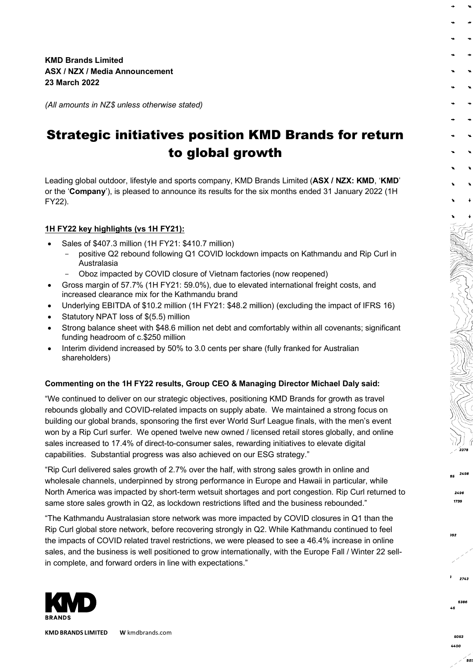**KMD Brands Limited ASX / NZX / Media Announcement 23 March 2022**

*(All amounts in NZ\$ unless otherwise stated)*

## Strategic initiatives position KMD Brands for return to global growth

Leading global outdoor, lifestyle and sports company, KMD Brands Limited (**ASX / NZX: KMD**, '**KMD**' or the '**Company**'), is pleased to announce its results for the six months ended 31 January 2022 (1H FY22).

#### **1H FY22 key highlights (vs 1H FY21):**

- Sales of \$407.3 million (1H FY21: \$410.7 million)
	- positive Q2 rebound following Q1 COVID lockdown impacts on Kathmandu and Rip Curl in Australasia
	- Oboz impacted by COVID closure of Vietnam factories (now reopened)
- Gross margin of 57.7% (1H FY21: 59.0%), due to elevated international freight costs, and increased clearance mix for the Kathmandu brand
- Underlying EBITDA of \$10.2 million (1H FY21: \$48.2 million) (excluding the impact of IFRS 16)
- Statutory NPAT loss of \$(5.5) million
- Strong balance sheet with \$48.6 million net debt and comfortably within all covenants; significant funding headroom of c.\$250 million
- Interim dividend increased by 50% to 3.0 cents per share (fully franked for Australian shareholders)

#### **Commenting on the 1H FY22 results, Group CEO & Managing Director Michael Daly said:**

"We continued to deliver on our strategic objectives, positioning KMD Brands for growth as travel rebounds globally and COVID-related impacts on supply abate. We maintained a strong focus on building our global brands, sponsoring the first ever World Surf League finals, with the men's event won by a Rip Curl surfer. We opened twelve new owned / licensed retail stores globally, and online sales increased to 17.4% of direct-to-consumer sales, rewarding initiatives to elevate digital capabilities. Substantial progress was also achieved on our ESG strategy."

"Rip Curl delivered sales growth of 2.7% over the half, with strong sales growth in online and wholesale channels, underpinned by strong performance in Europe and Hawaii in particular, while North America was impacted by short-term wetsuit shortages and port congestion. Rip Curl returned to same store sales growth in Q2, as lockdown restrictions lifted and the business rebounded."

"The Kathmandu Australasian store network was more impacted by COVID closures in Q1 than the Rip Curl global store network, before recovering strongly in Q2. While Kathmandu continued to feel the impacts of COVID related travel restrictions, we were pleased to see a 46.4% increase in online sales, and the business is well positioned to grow internationally, with the Europe Fall / Winter 22 sellin complete, and forward orders in line with expectations."



**KMD BRANDS LIMITED W** kmdbrands.com

5053 4400

- 50.

ze

2743

2498

2496 1739

992

 $\mathbf{v}$  $\bullet$ 

 $\ddot{\bullet}$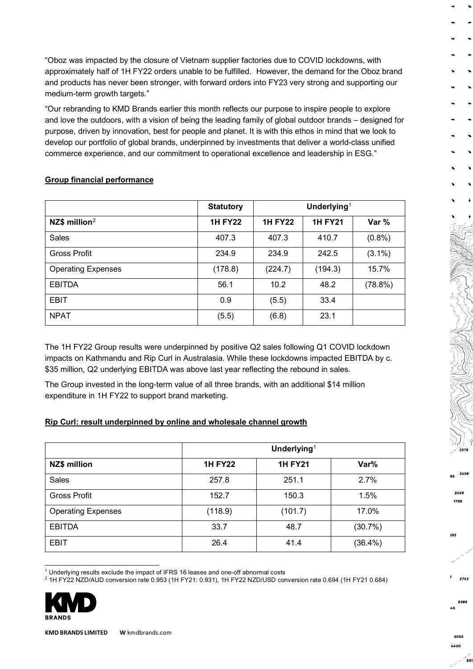"Oboz was impacted by the closure of Vietnam supplier factories due to COVID lockdowns, with approximately half of 1H FY22 orders unable to be fulfilled. However, the demand for the Oboz brand and products has never been stronger, with forward orders into FY23 very strong and supporting our medium-term growth targets."

"Our rebranding to KMD Brands earlier this month reflects our purpose to inspire people to explore and love the outdoors, with a vision of being the leading family of global outdoor brands – designed for purpose, driven by innovation, best for people and planet. It is with this ethos in mind that we look to develop our portfolio of global brands, underpinned by investments that deliver a world-class unified commerce experience, and our commitment to operational excellence and leadership in ESG."

|                           | <b>Statutory</b> |                | Underlying <sup>1</sup> |           |
|---------------------------|------------------|----------------|-------------------------|-----------|
| NZ\$ million $2$          | <b>1H FY22</b>   | <b>1H FY22</b> | <b>1H FY21</b>          | Var %     |
| Sales                     | 407.3            | 407.3          | 410.7                   | $(0.8\%)$ |
| <b>Gross Profit</b>       | 234.9            | 234.9          | 242.5                   | $(3.1\%)$ |
| <b>Operating Expenses</b> | (178.8)          | (224.7)        | (194.3)                 | 15.7%     |
| <b>EBITDA</b>             | 56.1             | 10.2           | 48.2                    | (78.8%)   |
| <b>EBIT</b>               | 0.9              | (5.5)          | 33.4                    |           |
| <b>NPAT</b>               | (5.5)            | (6.8)          | 23.1                    |           |

#### **Group financial performance**

The 1H FY22 Group results were underpinned by positive Q2 sales following Q1 COVID lockdown impacts on Kathmandu and Rip Curl in Australasia. While these lockdowns impacted EBITDA by c. \$35 million, Q2 underlying EBITDA was above last year reflecting the rebound in sales.

The Group invested in the long-term value of all three brands, with an additional \$14 million expenditure in 1H FY22 to support brand marketing.

#### **Rip Curl: result underpinned by online and wholesale channel growth**

|                           |                | Underlying <sup>1</sup> |            |  |  |  |
|---------------------------|----------------|-------------------------|------------|--|--|--|
| <b>NZ\$ million</b>       | <b>1H FY22</b> | <b>1H FY21</b>          | Var%       |  |  |  |
| Sales                     | 257.8          | 251.1                   | 2.7%       |  |  |  |
| <b>Gross Profit</b>       | 152.7          | 150.3                   | 1.5%       |  |  |  |
| <b>Operating Expenses</b> | (118.9)        | (101.7)                 | 17.0%      |  |  |  |
| <b>EBITDA</b>             | 33.7           | 48.7                    | (30.7%)    |  |  |  |
| <b>EBIT</b>               | 26.4           | 41.4                    | $(36.4\%)$ |  |  |  |

<span id="page-3-0"></span><sup>1</sup> Underlying results exclude the impact of IFRS 16 leases and one-off abnormal costs

<sup>2</sup> 1H FY22 NZD/AUD conversion rate 0.953 (1H FY21: 0.931), 1H FY22 NZD/USD conversion rate 0.694 (1H FY21 0.684)

<span id="page-3-1"></span>

**KMD BRANDS LIMITED W** kmdbrands.com

5053 4400

50)

ze

2743

2498

2496 1739

992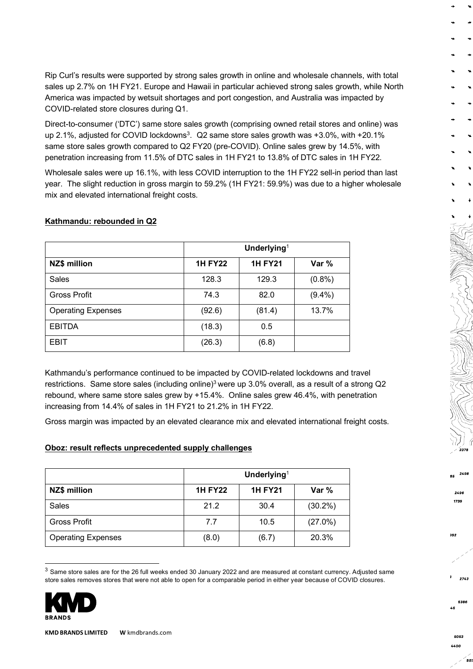Rip Curl's results were supported by strong sales growth in online and wholesale channels, with total sales up 2.7% on 1H FY21. Europe and Hawaii in particular achieved strong sales growth, while North America was impacted by wetsuit shortages and port congestion, and Australia was impacted by COVID-related store closures during Q1.

<span id="page-4-0"></span>Direct-to-consumer ('DTC') same store sales growth (comprising owned retail stores and online) was up 2.1%, adjusted for COVID lockdowns<sup>3</sup>. Q2 same store sales growth was  $+3.0\%$ , with  $+20.1\%$ same store sales growth compared to Q2 FY20 (pre-COVID). Online sales grew by 14.5%, with penetration increasing from 11.5% of DTC sales in 1H FY21 to 13.8% of DTC sales in 1H FY22.

Wholesale sales were up 16.1%, with less COVID interruption to the 1H FY22 sell-in period than last year. The slight reduction in gross margin to 59.2% (1H FY21: 59.9%) was due to a higher wholesale mix and elevated international freight costs.

|                           | Underlying <sup>1</sup> |                |           |  |  |  |
|---------------------------|-------------------------|----------------|-----------|--|--|--|
| <b>NZ\$ million</b>       | <b>1H FY22</b>          | <b>1H FY21</b> | Var %     |  |  |  |
| <b>Sales</b>              | 128.3                   | 129.3          | (0.8% )   |  |  |  |
| <b>Gross Profit</b>       | 74.3                    | 82.0           | $(9.4\%)$ |  |  |  |
| <b>Operating Expenses</b> | (92.6)                  | (81.4)         | 13.7%     |  |  |  |
| <b>EBITDA</b>             | (18.3)                  | 0.5            |           |  |  |  |
| <b>EBIT</b>               | (26.3)                  | (6.8)          |           |  |  |  |

#### **Kathmandu: rebounded in Q2**

Kathmandu's performance continued to be impacted by COVID-related lockdowns and travel restrictions. Same store sales (including online)<sup>3</sup> were up 3.0% overall, as a result of a strong Q2 rebound, where same store sales grew by +15.4%. Online sales grew 46.4%, with penetration increasing from 14.4% of sales in 1H FY21 to 21.2% in 1H FY22.

Gross margin was impacted by an elevated clearance mix and elevated international freight costs.

#### **Oboz: result reflects unprecedented supply challenges**

|                           | Underlying <sup>1</sup> |                |            |  |  |
|---------------------------|-------------------------|----------------|------------|--|--|
| <b>NZ\$ million</b>       | <b>1H FY22</b>          | <b>1H FY21</b> | Var %      |  |  |
| <b>Sales</b>              | 21.2                    | 30.4           | $(30.2\%)$ |  |  |
| <b>Gross Profit</b>       | 7.7                     | 10.5           | $(27.0\%)$ |  |  |
| <b>Operating Expenses</b> | (8.0)                   | (6.7)          | 20.3%      |  |  |

<span id="page-4-1"></span> $3$  Same store sales are for the 26 full weeks ended 30 January 2022 and are measured at constant currency. Adjusted same store sales removes stores that were not able to open for a comparable period in either year because of COVID closures.



**KMD BRANDS LIMITED W** kmdbrands.com

5053

50)

2743

2498

2496 1739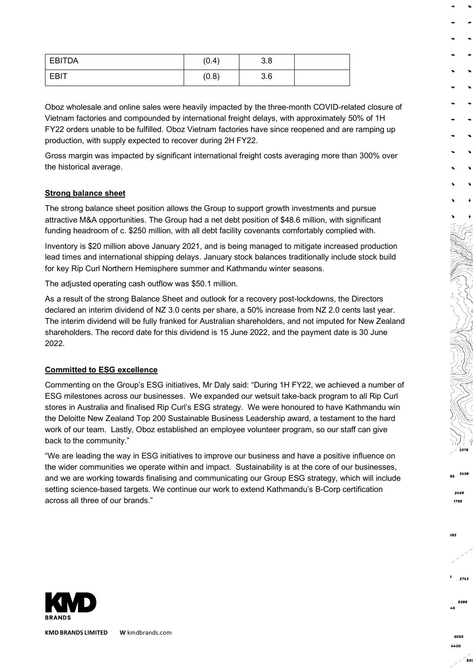| <b>EBITDA</b> | (0.4) | 3.8 |  |
|---------------|-------|-----|--|
| <b>EBIT</b>   | (0.8) | 3.6 |  |

Oboz wholesale and online sales were heavily impacted by the three-month COVID-related closure of Vietnam factories and compounded by international freight delays, with approximately 50% of 1H FY22 orders unable to be fulfilled. Oboz Vietnam factories have since reopened and are ramping up production, with supply expected to recover during 2H FY22.

Gross margin was impacted by significant international freight costs averaging more than 300% over the historical average.

#### **Strong balance sheet**

The strong balance sheet position allows the Group to support growth investments and pursue attractive M&A opportunities. The Group had a net debt position of \$48.6 million, with significant funding headroom of c. \$250 million, with all debt facility covenants comfortably complied with.

Inventory is \$20 million above January 2021, and is being managed to mitigate increased production lead times and international shipping delays. January stock balances traditionally include stock build for key Rip Curl Northern Hemisphere summer and Kathmandu winter seasons.

The adjusted operating cash outflow was \$50.1 million.

As a result of the strong Balance Sheet and outlook for a recovery post-lockdowns, the Directors declared an interim dividend of NZ 3.0 cents per share, a 50% increase from NZ 2.0 cents last year. The interim dividend will be fully franked for Australian shareholders, and not imputed for New Zealand shareholders. The record date for this dividend is 15 June 2022, and the payment date is 30 June 2022.

#### **Committed to ESG excellence**

Commenting on the Group's ESG initiatives, Mr Daly said: "During 1H FY22, we achieved a number of ESG milestones across our businesses. We expanded our wetsuit take-back program to all Rip Curl stores in Australia and finalised Rip Curl's ESG strategy. We were honoured to have Kathmandu win the Deloitte New Zealand Top 200 Sustainable Business Leadership award, a testament to the hard work of our team. Lastly, Oboz established an employee volunteer program, so our staff can give back to the community."

"We are leading the way in ESG initiatives to improve our business and have a positive influence on the wider communities we operate within and impact. Sustainability is at the core of our businesses, and we are working towards finalising and communicating our Group ESG strategy, which will include setting science-based targets. We continue our work to extend Kathmandu's B-Corp certification across all three of our brands."



**KMD BRANDS LIMITED W** kmdbrands.com

2743

2498

2496 1739

992

 $\ddot{\phantom{a}}$ 

ze

50.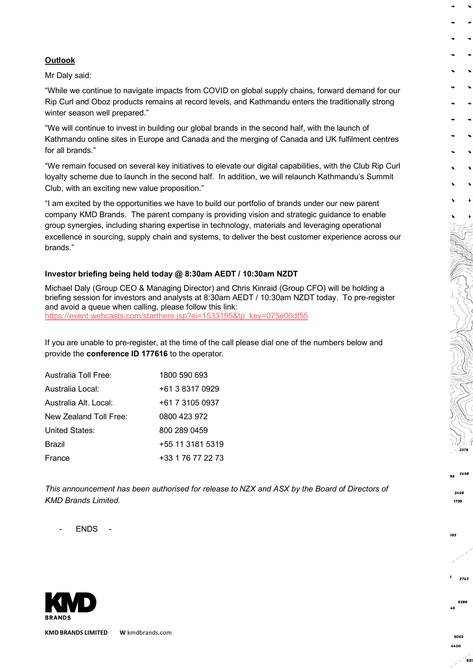#### **Outlook**

Mr Daly said:

"While we continue to navigate impacts from COVID on global supply chains, forward demand for our Rip Curl and Oboz products remains at record levels, and Kathmandu enters the traditionally strong winter season well prepared."

"We will continue to invest in building our global brands in the second half, with the launch of Kathmandu online sites in Europe and Canada and the merging of Canada and UK fulfilment centres for all brands."

"We remain focused on several key initiatives to elevate our digital capabilities, with the Club Rip Curl loyalty scheme due to launch in the second half. In addition, we will relaunch Kathmandu's Summit Club, with an exciting new value proposition."

"I am excited by the opportunities we have to build our portfolio of brands under our new parent company KMD Brands. The parent company is providing vision and strategic guidance to enable group synergies, including sharing expertise in technology, materials and leveraging operational excellence in sourcing, supply chain and systems, to deliver the best customer experience across our brands."

#### **Investor briefing being held today @ 8:30am AEDT / 10:30am NZDT**

Michael Daly (Group CEO & Managing Director) and Chris Kinraid (Group CFO) will be holding a briefing session for investors and analysts at 8:30am AEDT / 10:30am NZDT today. To pre-register and avoid a queue when calling, please follow this link: [https://event.webcasts.com/starthere.jsp?ei=1533195&tp\\_key=075e00df55](https://event.webcasts.com/starthere.jsp?ei=1533195&tp_key=075e00df55)

If you are unable to pre-register, at the time of the call please dial one of the numbers below and provide the **conference ID 177616** to the operator.

| Australia Toll Free:   | 1800 590 693      |
|------------------------|-------------------|
| Australia Local:       | +61 3 8317 0929   |
| Australia Alt. Local:  | +61 7 3105 0937   |
| New Zealand Toll Free: | 0800 423 972      |
| United States:         | 800 289 0459      |
| Brazil                 | +55 11 3181 5319  |
| France                 | +33 1 76 77 22 73 |

*This announcement has been authorised for release to NZX and ASX by the Board of Directors of KMD Brands Limited.*

- ENDS -



**KMD BRANDS LIMITED W** kmdbrands.com

50.

2743

2498

2496 1739

992

ze

¥  $\bullet$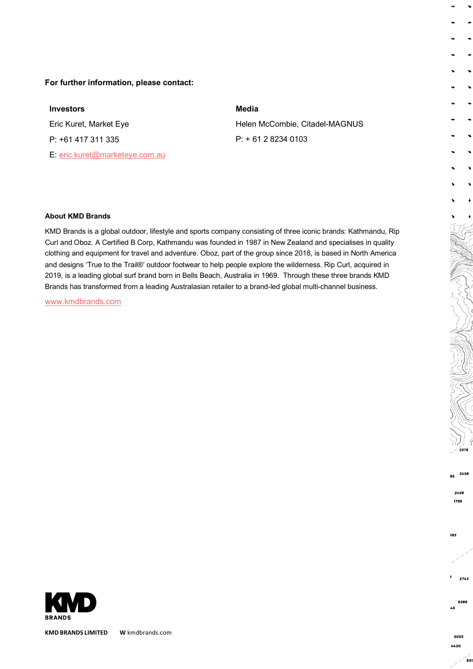#### **For further information, please contact:**

## **Investors** Eric Kuret, Market Eye P: +61 417 311 335 E: [eric.kuret@marketeye.com.au](mailto:eric.kuret@marketeye.com.au)

#### **Media**

Helen McCombie, Citadel-MAGNUS P: + 61 2 8234 0103

#### **About KMD Brands**

KMD Brands is a global outdoor, lifestyle and sports company consisting of three iconic brands: Kathmandu, Rip Curl and Oboz. A Certified B Corp, Kathmandu was founded in 1987 in New Zealand and specialises in quality clothing and equipment for travel and adventure. Oboz, part of the group since 2018, is based in North America and designs 'True to the Trail®' outdoor footwear to help people explore the wilderness. Rip Curl, acquired in 2019, is a leading global surf brand born in Bells Beach, Australia in 1969. Through these three brands KMD Brands has transformed from a leading Australasian retailer to a brand-led global multi-channel business.

[www.kmdbrands.com](http://www.kmdbrands.com/) 



**KMD BRANDS LIMITED W** kmdbrands.com

50.

2498

2496 1739

992

2743

5386 ze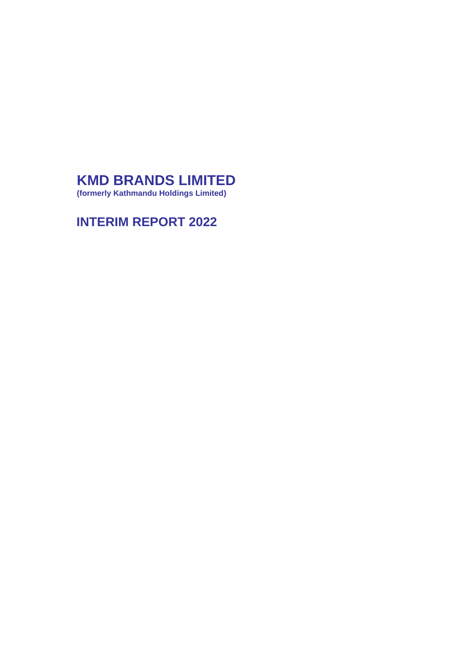## **KMD BRANDS LIMITED**

**(formerly Kathmandu Holdings Limited)**

## **INTERIM REPORT 2022**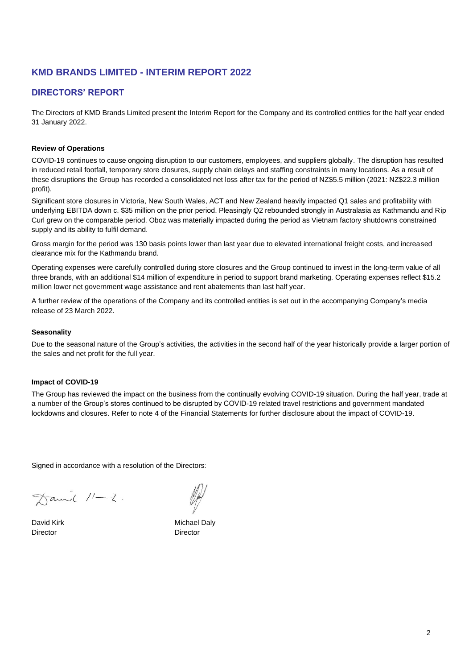#### **DIRECTORS' REPORT**

The Directors of KMD Brands Limited present the Interim Report for the Company and its controlled entities for the half year ended 31 January 2022.

#### **Review of Operations**

COVID-19 continues to cause ongoing disruption to our customers, employees, and suppliers globally. The disruption has resulted in reduced retail footfall, temporary store closures, supply chain delays and staffing constraints in many locations. As a result of these disruptions the Group has recorded a consolidated net loss after tax for the period of NZ\$5.5 million (2021: NZ\$22.3 million profit).

Significant store closures in Victoria, New South Wales, ACT and New Zealand heavily impacted Q1 sales and profitability with underlying EBITDA down c. \$35 million on the prior period. Pleasingly Q2 rebounded strongly in Australasia as Kathmandu and Rip Curl grew on the comparable period. Oboz was materially impacted during the period as Vietnam factory shutdowns constrained supply and its ability to fulfil demand.

Gross margin for the period was 130 basis points lower than last year due to elevated international freight costs, and increased clearance mix for the Kathmandu brand.

Operating expenses were carefully controlled during store closures and the Group continued to invest in the long-term value of all three brands, with an additional \$14 million of expenditure in period to support brand marketing. Operating expenses reflect \$15.2 million lower net government wage assistance and rent abatements than last half year.

A further review of the operations of the Company and its controlled entities is set out in the accompanying Company's media release of 23 March 2022.

#### **Seasonality**

Due to the seasonal nature of the Group's activities, the activities in the second half of the year historically provide a larger portion of the sales and net profit for the full year.

#### **Impact of COVID-19**

The Group has reviewed the impact on the business from the continually evolving COVID-19 situation. During the half year, trade at a number of the Group's stores continued to be disrupted by COVID-19 related travel restrictions and government mandated lockdowns and closures. Refer to note 4 of the Financial Statements for further disclosure about the impact of COVID-19.

Signed in accordance with a resolution of the Directors:

 $\pi$ amil  $11-2$ .

Director Director

David Kirk Michael Daly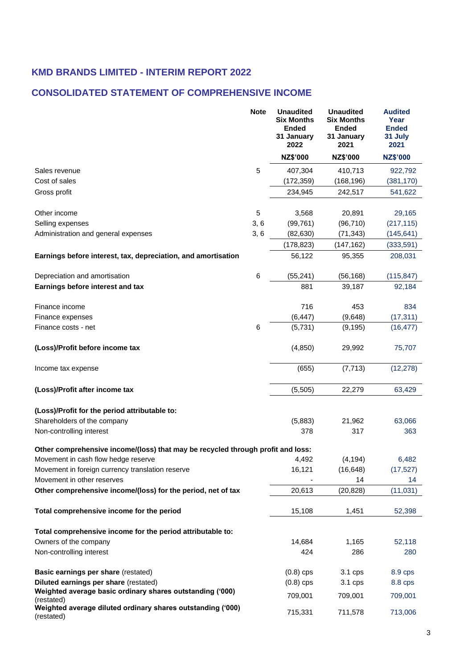## **CONSOLIDATED STATEMENT OF COMPREHENSIVE INCOME**

|                                                                                 | <b>Note</b> | <b>Unaudited</b><br><b>Six Months</b><br><b>Ended</b><br>31 January<br>2022 | <b>Unaudited</b><br><b>Six Months</b><br><b>Ended</b><br>31 January<br>2021 | <b>Audited</b><br>Year<br><b>Ended</b><br>31 July<br>2021 |
|---------------------------------------------------------------------------------|-------------|-----------------------------------------------------------------------------|-----------------------------------------------------------------------------|-----------------------------------------------------------|
|                                                                                 |             | NZ\$'000                                                                    | NZ\$'000                                                                    | <b>NZ\$'000</b>                                           |
| Sales revenue                                                                   | 5           | 407,304                                                                     | 410,713                                                                     | 922,792                                                   |
| Cost of sales                                                                   |             | (172, 359)                                                                  | (168, 196)                                                                  | (381, 170)                                                |
| Gross profit                                                                    |             | 234,945                                                                     | 242,517                                                                     | 541,622                                                   |
| Other income                                                                    | 5           | 3,568                                                                       | 20,891                                                                      | 29,165                                                    |
| Selling expenses                                                                | 3, 6        | (99, 761)                                                                   | (96, 710)                                                                   | (217, 115)                                                |
| Administration and general expenses                                             | 3,6         | (82, 630)                                                                   | (71, 343)                                                                   | (145, 641)                                                |
|                                                                                 |             | (178, 823)                                                                  | (147, 162)                                                                  | (333,591)                                                 |
| Earnings before interest, tax, depreciation, and amortisation                   |             | 56,122                                                                      | 95,355                                                                      | 208,031                                                   |
| Depreciation and amortisation                                                   | 6           | (55, 241)                                                                   | (56, 168)                                                                   | (115, 847)                                                |
| Earnings before interest and tax                                                |             | 881                                                                         | 39,187                                                                      | 92,184                                                    |
| Finance income                                                                  |             | 716                                                                         | 453                                                                         | 834                                                       |
| Finance expenses                                                                |             | (6, 447)                                                                    | (9,648)                                                                     | (17, 311)                                                 |
| Finance costs - net                                                             | 6           | (5,731)                                                                     | (9, 195)                                                                    | (16, 477)                                                 |
| (Loss)/Profit before income tax                                                 |             | (4,850)                                                                     | 29,992                                                                      | 75,707                                                    |
| Income tax expense                                                              |             | (655)                                                                       | (7, 713)                                                                    | (12, 278)                                                 |
| (Loss)/Profit after income tax                                                  |             | (5,505)                                                                     | 22,279                                                                      | 63,429                                                    |
| (Loss)/Profit for the period attributable to:                                   |             |                                                                             |                                                                             |                                                           |
| Shareholders of the company                                                     |             | (5,883)                                                                     | 21,962                                                                      | 63,066                                                    |
| Non-controlling interest                                                        |             | 378                                                                         | 317                                                                         | 363                                                       |
| Other comprehensive income/(loss) that may be recycled through profit and loss: |             |                                                                             |                                                                             |                                                           |
| Movement in cash flow hedge reserve                                             |             | 4,492                                                                       | (4, 194)                                                                    | 6,482                                                     |
| Movement in foreign currency translation reserve                                |             | 16,121                                                                      | (16, 648)                                                                   | (17, 527)                                                 |
| Movement in other reserves                                                      |             |                                                                             | 14                                                                          | 14                                                        |
| Other comprehensive income/(loss) for the period, net of tax                    |             | 20,613                                                                      | (20, 828)                                                                   | (11, 031)                                                 |
| Total comprehensive income for the period                                       |             | 15,108                                                                      | 1,451                                                                       | 52,398                                                    |
| Total comprehensive income for the period attributable to:                      |             |                                                                             |                                                                             |                                                           |
| Owners of the company                                                           |             | 14,684                                                                      | 1,165                                                                       | 52,118                                                    |
| Non-controlling interest                                                        |             | 424                                                                         | 286                                                                         | 280                                                       |
| Basic earnings per share (restated)                                             |             | $(0.8)$ cps                                                                 | 3.1 cps                                                                     | 8.9 cps                                                   |
| Diluted earnings per share (restated)                                           |             | $(0.8)$ cps                                                                 | 3.1 cps                                                                     | 8.8 cps                                                   |
| Weighted average basic ordinary shares outstanding ('000)<br>(restated)         |             | 709,001                                                                     | 709,001                                                                     | 709,001                                                   |
| Weighted average diluted ordinary shares outstanding ('000)<br>(restated)       |             | 715,331                                                                     | 711,578                                                                     | 713,006                                                   |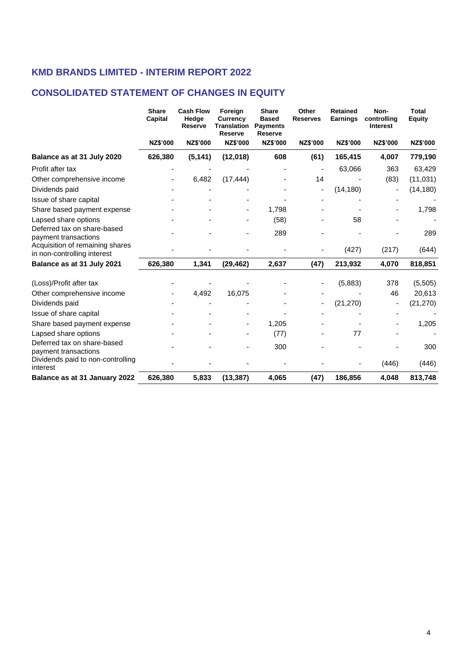## **CONSOLIDATED STATEMENT OF CHANGES IN EQUITY**

|                                                                | <b>Share</b><br>Capital | <b>Cash Flow</b><br>Hedge<br><b>Reserve</b> | Foreign<br>Currency<br><b>Translation</b><br>Reserve | <b>Share</b><br><b>Based</b><br><b>Payments</b><br><b>Reserve</b> | Other<br><b>Reserves</b> | <b>Retained</b><br><b>Earnings</b> | Non-<br>controlling<br><b>Interest</b> | <b>Total</b><br>Equity |
|----------------------------------------------------------------|-------------------------|---------------------------------------------|------------------------------------------------------|-------------------------------------------------------------------|--------------------------|------------------------------------|----------------------------------------|------------------------|
|                                                                | <b>NZ\$'000</b>         | <b>NZ\$'000</b>                             | <b>NZ\$'000</b>                                      | <b>NZ\$'000</b>                                                   | <b>NZ\$'000</b>          | <b>NZ\$'000</b>                    | <b>NZ\$'000</b>                        | NZ\$'000               |
| Balance as at 31 July 2020                                     | 626,380                 | (5, 141)                                    | (12,018)                                             | 608                                                               | (61)                     | 165,415                            | 4,007                                  | 779,190                |
| Profit after tax                                               |                         |                                             |                                                      |                                                                   |                          | 63,066                             | 363                                    | 63,429                 |
| Other comprehensive income                                     |                         | 6,482                                       | (17, 444)                                            |                                                                   | 14                       |                                    | (83)                                   | (11, 031)              |
| Dividends paid                                                 |                         |                                             |                                                      |                                                                   | $\overline{a}$           | (14, 180)                          |                                        | (14, 180)              |
| Issue of share capital                                         |                         |                                             |                                                      |                                                                   |                          |                                    |                                        |                        |
| Share based payment expense                                    |                         |                                             |                                                      | 1,798                                                             |                          |                                    |                                        | 1,798                  |
| Lapsed share options                                           |                         |                                             |                                                      | (58)                                                              |                          | 58                                 |                                        |                        |
| Deferred tax on share-based<br>payment transactions            |                         |                                             |                                                      | 289                                                               |                          |                                    |                                        | 289                    |
| Acquisition of remaining shares<br>in non-controlling interest |                         |                                             |                                                      |                                                                   |                          | (427)                              | (217)                                  | (644)                  |
| Balance as at 31 July 2021                                     | 626,380                 | 1,341                                       | (29, 462)                                            | 2,637                                                             | (47)                     | 213,932                            | 4,070                                  | 818,851                |
| (Loss)/Profit after tax                                        |                         |                                             |                                                      |                                                                   |                          | (5,883)                            | 378                                    | (5, 505)               |
| Other comprehensive income                                     |                         | 4,492                                       | 16,075                                               |                                                                   |                          |                                    | 46                                     | 20,613                 |
| Dividends paid                                                 |                         |                                             |                                                      |                                                                   |                          | (21, 270)                          |                                        | (21, 270)              |
| Issue of share capital                                         |                         |                                             |                                                      |                                                                   |                          |                                    |                                        |                        |
| Share based payment expense                                    |                         |                                             |                                                      | 1,205                                                             |                          |                                    |                                        | 1,205                  |
| Lapsed share options                                           |                         |                                             |                                                      | (77)                                                              |                          | 77                                 |                                        |                        |
| Deferred tax on share-based<br>payment transactions            |                         |                                             |                                                      | 300                                                               |                          |                                    |                                        | 300                    |
| Dividends paid to non-controlling<br>interest                  |                         |                                             |                                                      |                                                                   |                          |                                    | (446)                                  | (446)                  |
| Balance as at 31 January 2022                                  | 626,380                 | 5,833                                       | (13, 387)                                            | 4,065                                                             | (47)                     | 186,856                            | 4,048                                  | 813,748                |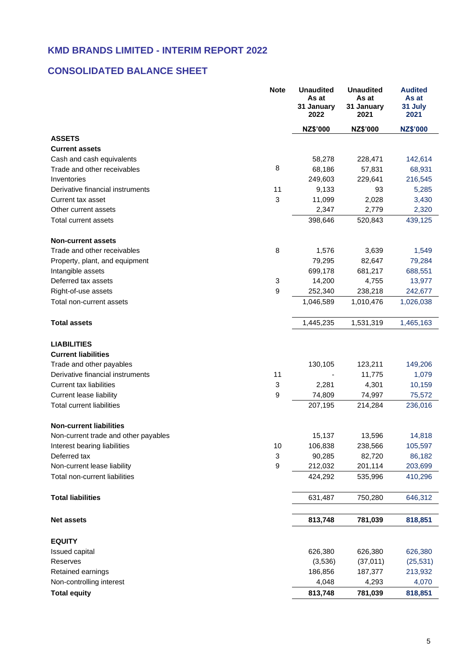## **CONSOLIDATED BALANCE SHEET**

|                                                  | <b>Note</b>               | <b>Unaudited</b><br>As at<br>31 January<br>2022 | <b>Unaudited</b><br>As at<br>31 January<br>2021 | <b>Audited</b><br>As at<br>31 July<br>2021 |
|--------------------------------------------------|---------------------------|-------------------------------------------------|-------------------------------------------------|--------------------------------------------|
|                                                  |                           | NZ\$'000                                        | NZ\$'000                                        | <b>NZ\$'000</b>                            |
| <b>ASSETS</b>                                    |                           |                                                 |                                                 |                                            |
| <b>Current assets</b>                            |                           |                                                 |                                                 |                                            |
| Cash and cash equivalents                        |                           | 58,278                                          | 228,471                                         | 142,614                                    |
| Trade and other receivables                      | 8                         | 68,186                                          | 57,831                                          | 68,931                                     |
| Inventories                                      |                           | 249,603                                         | 229,641                                         | 216,545                                    |
| Derivative financial instruments                 | 11                        | 9,133                                           | 93                                              | 5,285                                      |
| Current tax asset                                | $\mathbf 3$               | 11,099                                          | 2,028                                           | 3,430                                      |
| Other current assets                             |                           | 2,347                                           | 2,779                                           | 2,320                                      |
| Total current assets                             |                           | 398,646                                         | 520,843                                         | 439,125                                    |
| <b>Non-current assets</b>                        |                           |                                                 |                                                 |                                            |
| Trade and other receivables                      | 8                         | 1,576                                           | 3,639                                           | 1,549                                      |
| Property, plant, and equipment                   |                           | 79,295                                          | 82,647                                          | 79,284                                     |
| Intangible assets                                |                           | 699,178                                         | 681,217                                         | 688,551                                    |
| Deferred tax assets                              | 3                         | 14,200                                          | 4,755                                           | 13,977                                     |
| Right-of-use assets                              | 9                         | 252,340                                         | 238,218                                         | 242,677                                    |
| Total non-current assets                         |                           | 1,046,589                                       | 1,010,476                                       | 1,026,038                                  |
| <b>Total assets</b>                              |                           | 1,445,235                                       | 1,531,319                                       | 1,465,163                                  |
| <b>LIABILITIES</b><br><b>Current liabilities</b> |                           |                                                 |                                                 |                                            |
| Trade and other payables                         |                           | 130,105                                         | 123,211                                         | 149,206                                    |
| Derivative financial instruments                 | 11                        |                                                 | 11,775                                          | 1,079                                      |
| <b>Current tax liabilities</b>                   | 3                         | 2,281                                           | 4,301                                           | 10,159                                     |
| <b>Current lease liability</b>                   | $\boldsymbol{9}$          | 74,809                                          | 74,997                                          | 75,572                                     |
| <b>Total current liabilities</b>                 |                           | 207,195                                         | 214,284                                         | 236,016                                    |
| <b>Non-current liabilities</b>                   |                           |                                                 |                                                 |                                            |
| Non-current trade and other payables             |                           | 15,137                                          | 13,596                                          | 14,818                                     |
| Interest bearing liabilities                     | 10                        | 106,838                                         | 238,566                                         | 105,597                                    |
| Deferred tax                                     | $\ensuremath{\mathsf{3}}$ | 90,285                                          | 82,720                                          | 86,182                                     |
| Non-current lease liability                      | $\boldsymbol{9}$          | 212,032                                         | 201,114                                         | 203,699                                    |
| Total non-current liabilities                    |                           | 424,292                                         | 535,996                                         | 410,296                                    |
| <b>Total liabilities</b>                         |                           | 631,487                                         | 750,280                                         | 646,312                                    |
| <b>Net assets</b>                                |                           | 813,748                                         | 781,039                                         | 818,851                                    |
|                                                  |                           |                                                 |                                                 |                                            |
| <b>EQUITY</b>                                    |                           |                                                 |                                                 |                                            |
| <b>Issued capital</b>                            |                           | 626,380                                         | 626,380                                         | 626,380                                    |
| Reserves                                         |                           | (3,536)                                         | (37, 011)                                       | (25, 531)                                  |
| Retained earnings                                |                           | 186,856                                         | 187,377                                         | 213,932                                    |
| Non-controlling interest                         |                           | 4,048                                           | 4,293                                           | 4,070                                      |
| <b>Total equity</b>                              |                           | 813,748                                         | 781,039                                         | 818,851                                    |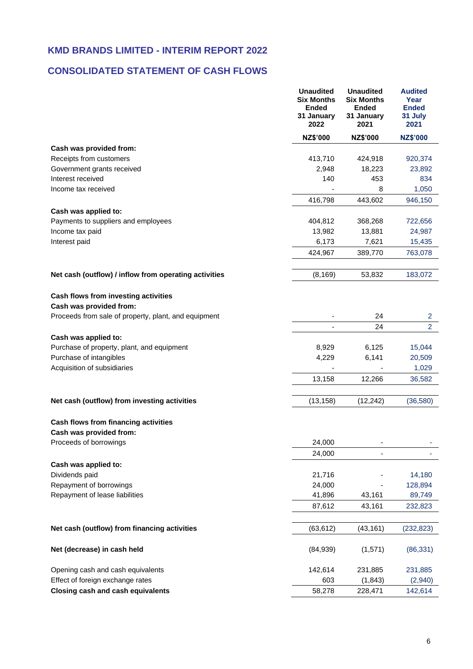## **CONSOLIDATED STATEMENT OF CASH FLOWS**

|                                                                 | <b>Unaudited</b><br><b>Six Months</b><br><b>Ended</b><br>31 January<br>2022 | <b>Unaudited</b><br><b>Six Months</b><br><b>Ended</b><br>31 January<br>2021 | <b>Audited</b><br>Year<br><b>Ended</b><br>31 July<br>2021 |
|-----------------------------------------------------------------|-----------------------------------------------------------------------------|-----------------------------------------------------------------------------|-----------------------------------------------------------|
|                                                                 | <b>NZ\$'000</b>                                                             | NZ\$'000                                                                    | <b>NZ\$'000</b>                                           |
| Cash was provided from:                                         |                                                                             |                                                                             |                                                           |
| Receipts from customers                                         | 413,710                                                                     | 424,918                                                                     | 920,374                                                   |
| Government grants received                                      | 2,948                                                                       | 18,223                                                                      | 23,892                                                    |
| Interest received                                               | 140                                                                         | 453                                                                         | 834                                                       |
| Income tax received                                             |                                                                             | 8                                                                           | 1,050                                                     |
|                                                                 | 416,798                                                                     | 443,602                                                                     | 946,150                                                   |
| Cash was applied to:                                            |                                                                             |                                                                             |                                                           |
| Payments to suppliers and employees                             | 404,812                                                                     | 368,268                                                                     | 722,656                                                   |
| Income tax paid                                                 | 13,982                                                                      | 13,881                                                                      | 24,987                                                    |
| Interest paid                                                   | 6,173                                                                       | 7,621                                                                       | 15,435                                                    |
|                                                                 | 424,967                                                                     | 389,770                                                                     | 763,078                                                   |
| Net cash (outflow) / inflow from operating activities           | (8, 169)                                                                    | 53,832                                                                      | 183,072                                                   |
| Cash flows from investing activities                            |                                                                             |                                                                             |                                                           |
| Cash was provided from:                                         |                                                                             |                                                                             |                                                           |
| Proceeds from sale of property, plant, and equipment            |                                                                             | 24                                                                          | $\overline{2}$                                            |
|                                                                 |                                                                             | 24                                                                          | $\overline{2}$                                            |
| Cash was applied to:                                            |                                                                             |                                                                             |                                                           |
| Purchase of property, plant, and equipment                      | 8,929                                                                       | 6,125                                                                       | 15,044                                                    |
| Purchase of intangibles                                         | 4,229                                                                       | 6,141                                                                       | 20,509                                                    |
| Acquisition of subsidiaries                                     |                                                                             |                                                                             | 1,029                                                     |
|                                                                 | 13,158                                                                      | 12,266                                                                      | 36,582                                                    |
| Net cash (outflow) from investing activities                    | (13, 158)                                                                   | (12, 242)                                                                   | (36,580)                                                  |
|                                                                 |                                                                             |                                                                             |                                                           |
| Cash flows from financing activities<br>Cash was provided from: |                                                                             |                                                                             |                                                           |
| Proceeds of borrowings                                          | 24,000                                                                      |                                                                             |                                                           |
|                                                                 | 24,000                                                                      |                                                                             |                                                           |
| Cash was applied to:                                            |                                                                             |                                                                             |                                                           |
| Dividends paid                                                  | 21,716                                                                      |                                                                             | 14,180                                                    |
| Repayment of borrowings                                         | 24,000                                                                      |                                                                             | 128,894                                                   |
| Repayment of lease liabilities                                  | 41,896                                                                      | 43,161                                                                      | 89,749                                                    |
|                                                                 | 87,612                                                                      | 43,161                                                                      | 232,823                                                   |
|                                                                 |                                                                             |                                                                             |                                                           |
| Net cash (outflow) from financing activities                    | (63, 612)                                                                   | (43, 161)                                                                   | (232, 823)                                                |
| Net (decrease) in cash held                                     | (84,939)                                                                    | (1,571)                                                                     | (86, 331)                                                 |
| Opening cash and cash equivalents                               | 142,614                                                                     | 231,885                                                                     | 231,885                                                   |
| Effect of foreign exchange rates                                | 603                                                                         | (1, 843)                                                                    | (2,940)                                                   |
| <b>Closing cash and cash equivalents</b>                        | 58,278                                                                      | 228,471                                                                     | 142,614                                                   |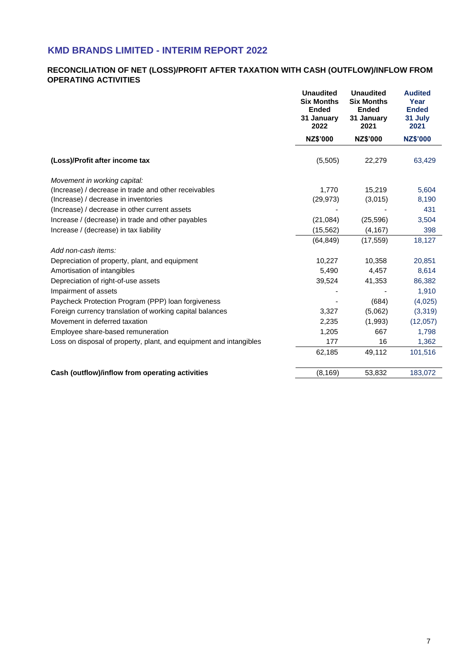#### **RECONCILIATION OF NET (LOSS)/PROFIT AFTER TAXATION WITH CASH (OUTFLOW)/INFLOW FROM OPERATING ACTIVITIES**

|                                                                    | <b>Unaudited</b><br><b>Six Months</b><br><b>Ended</b><br>31 January<br>2022 | <b>Unaudited</b><br><b>Six Months</b><br><b>Ended</b><br>31 January<br>2021 | <b>Audited</b><br>Year<br><b>Ended</b><br>31 July<br>2021 |
|--------------------------------------------------------------------|-----------------------------------------------------------------------------|-----------------------------------------------------------------------------|-----------------------------------------------------------|
|                                                                    | NZ\$'000                                                                    | NZ\$'000                                                                    | <b>NZ\$'000</b>                                           |
| (Loss)/Profit after income tax                                     | (5,505)                                                                     | 22,279                                                                      | 63,429                                                    |
| Movement in working capital:                                       |                                                                             |                                                                             |                                                           |
| (Increase) / decrease in trade and other receivables               | 1,770                                                                       | 15,219                                                                      | 5,604                                                     |
| (Increase) / decrease in inventories                               | (29, 973)                                                                   | (3,015)                                                                     | 8,190                                                     |
| (Increase) / decrease in other current assets                      |                                                                             |                                                                             | 431                                                       |
| Increase / (decrease) in trade and other payables                  | (21,084)                                                                    | (25, 596)                                                                   | 3,504                                                     |
| Increase / (decrease) in tax liability                             | (15, 562)                                                                   | (4, 167)                                                                    | 398                                                       |
|                                                                    | (64, 849)                                                                   | (17, 559)                                                                   | 18,127                                                    |
| Add non-cash items:                                                |                                                                             |                                                                             |                                                           |
| Depreciation of property, plant, and equipment                     | 10,227                                                                      | 10,358                                                                      | 20,851                                                    |
| Amortisation of intangibles                                        | 5,490                                                                       | 4,457                                                                       | 8,614                                                     |
| Depreciation of right-of-use assets                                | 39,524                                                                      | 41,353                                                                      | 86,382                                                    |
| Impairment of assets                                               |                                                                             |                                                                             | 1,910                                                     |
| Paycheck Protection Program (PPP) loan forgiveness                 |                                                                             | (684)                                                                       | (4,025)                                                   |
| Foreign currency translation of working capital balances           | 3,327                                                                       | (5,062)                                                                     | (3,319)                                                   |
| Movement in deferred taxation                                      | 2,235                                                                       | (1,993)                                                                     | (12,057)                                                  |
| Employee share-based remuneration                                  | 1,205                                                                       | 667                                                                         | 1,798                                                     |
| Loss on disposal of property, plant, and equipment and intangibles | 177                                                                         | 16                                                                          | 1,362                                                     |
|                                                                    | 62,185                                                                      | 49,112                                                                      | 101,516                                                   |
| Cash (outflow)/inflow from operating activities                    | (8, 169)                                                                    | 53,832                                                                      | 183,072                                                   |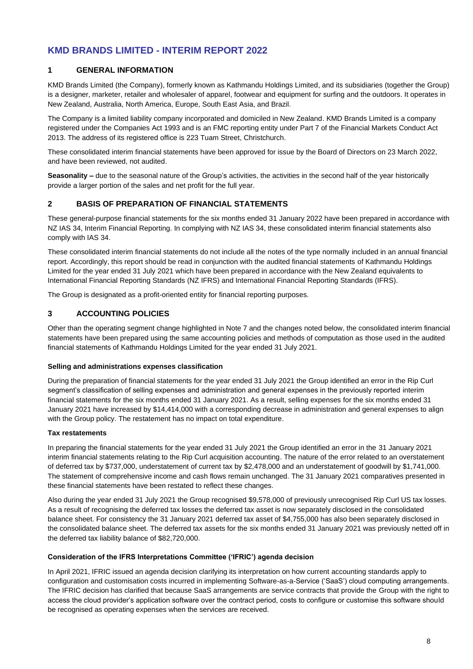#### **1 GENERAL INFORMATION**

KMD Brands Limited (the Company), formerly known as Kathmandu Holdings Limited, and its subsidiaries (together the Group) is a designer, marketer, retailer and wholesaler of apparel, footwear and equipment for surfing and the outdoors. It operates in New Zealand, Australia, North America, Europe, South East Asia, and Brazil.

The Company is a limited liability company incorporated and domiciled in New Zealand. KMD Brands Limited is a company registered under the Companies Act 1993 and is an FMC reporting entity under Part 7 of the Financial Markets Conduct Act 2013. The address of its registered office is 223 Tuam Street, Christchurch.

These consolidated interim financial statements have been approved for issue by the Board of Directors on 23 March 2022, and have been reviewed, not audited.

**Seasonality –** due to the seasonal nature of the Group's activities, the activities in the second half of the year historically provide a larger portion of the sales and net profit for the full year.

#### **2 BASIS OF PREPARATION OF FINANCIAL STATEMENTS**

These general-purpose financial statements for the six months ended 31 January 2022 have been prepared in accordance with NZ IAS 34, Interim Financial Reporting. In complying with NZ IAS 34, these consolidated interim financial statements also comply with IAS 34.

These consolidated interim financial statements do not include all the notes of the type normally included in an annual financial report. Accordingly, this report should be read in conjunction with the audited financial statements of Kathmandu Holdings Limited for the year ended 31 July 2021 which have been prepared in accordance with the New Zealand equivalents to International Financial Reporting Standards (NZ IFRS) and International Financial Reporting Standards (IFRS).

The Group is designated as a profit-oriented entity for financial reporting purposes.

#### **3 ACCOUNTING POLICIES**

Other than the operating segment change highlighted in Note 7 and the changes noted below, the consolidated interim financial statements have been prepared using the same accounting policies and methods of computation as those used in the audited financial statements of Kathmandu Holdings Limited for the year ended 31 July 2021.

#### **Selling and administrations expenses classification**

During the preparation of financial statements for the year ended 31 July 2021 the Group identified an error in the Rip Curl segment's classification of selling expenses and administration and general expenses in the previously reported interim financial statements for the six months ended 31 January 2021. As a result, selling expenses for the six months ended 31 January 2021 have increased by \$14,414,000 with a corresponding decrease in administration and general expenses to align with the Group policy. The restatement has no impact on total expenditure.

#### **Tax restatements**

In preparing the financial statements for the year ended 31 July 2021 the Group identified an error in the 31 January 2021 interim financial statements relating to the Rip Curl acquisition accounting. The nature of the error related to an overstatement of deferred tax by \$737,000, understatement of current tax by \$2,478,000 and an understatement of goodwill by \$1,741,000. The statement of comprehensive income and cash flows remain unchanged. The 31 January 2021 comparatives presented in these financial statements have been restated to reflect these changes.

Also during the year ended 31 July 2021 the Group recognised \$9,578,000 of previously unrecognised Rip Curl US tax losses. As a result of recognising the deferred tax losses the deferred tax asset is now separately disclosed in the consolidated balance sheet. For consistency the 31 January 2021 deferred tax asset of \$4,755,000 has also been separately disclosed in the consolidated balance sheet. The deferred tax assets for the six months ended 31 January 2021 was previously netted off in the deferred tax liability balance of \$82,720,000.

#### **Consideration of the IFRS Interpretations Committee ('IFRIC') agenda decision**

In April 2021, IFRIC issued an agenda decision clarifying its interpretation on how current accounting standards apply to configuration and customisation costs incurred in implementing Software-as-a-Service ('SaaS') cloud computing arrangements. The IFRIC decision has clarified that because SaaS arrangements are service contracts that provide the Group with the right to access the cloud provider's application software over the contract period, costs to configure or customise this software should be recognised as operating expenses when the services are received.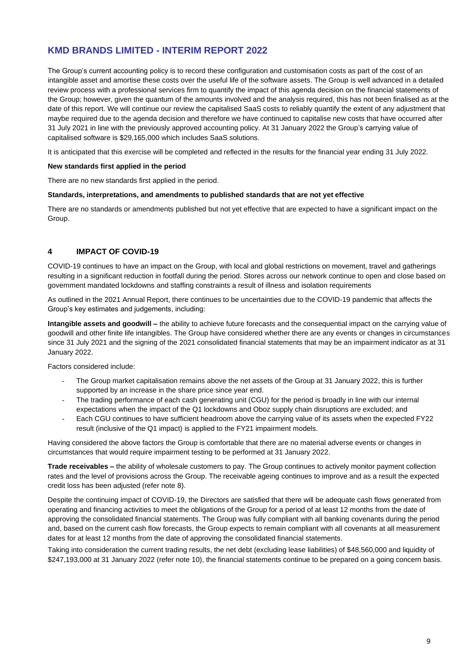The Group's current accounting policy is to record these configuration and customisation costs as part of the cost of an intangible asset and amortise these costs over the useful life of the software assets. The Group is well advanced in a detailed review process with a professional services firm to quantify the impact of this agenda decision on the financial statements of the Group; however, given the quantum of the amounts involved and the analysis required, this has not been finalised as at the date of this report. We will continue our review the capitalised SaaS costs to reliably quantify the extent of any adjustment that maybe required due to the agenda decision and therefore we have continued to capitalise new costs that have occurred after 31 July 2021 in line with the previously approved accounting policy. At 31 January 2022 the Group's carrying value of capitalised software is \$29,165,000 which includes SaaS solutions.

It is anticipated that this exercise will be completed and reflected in the results for the financial year ending 31 July 2022.

#### **New standards first applied in the period**

There are no new standards first applied in the period.

#### **Standards, interpretations, and amendments to published standards that are not yet effective**

There are no standards or amendments published but not yet effective that are expected to have a significant impact on the Group.

#### **4 IMPACT OF COVID-19**

COVID-19 continues to have an impact on the Group, with local and global restrictions on movement, travel and gatherings resulting in a significant reduction in footfall during the period. Stores across our network continue to open and close based on government mandated lockdowns and staffing constraints a result of illness and isolation requirements

As outlined in the 2021 Annual Report, there continues to be uncertainties due to the COVID-19 pandemic that affects the Group's key estimates and judgements, including:

**Intangible assets and goodwill –** the ability to achieve future forecasts and the consequential impact on the carrying value of goodwill and other finite life intangibles. The Group have considered whether there are any events or changes in circumstances since 31 July 2021 and the signing of the 2021 consolidated financial statements that may be an impairment indicator as at 31 January 2022.

Factors considered include:

- The Group market capitalisation remains above the net assets of the Group at 31 January 2022, this is further supported by an increase in the share price since year end.
- The trading performance of each cash generating unit (CGU) for the period is broadly in line with our internal expectations when the impact of the Q1 lockdowns and Oboz supply chain disruptions are excluded; and
- Each CGU continues to have sufficient headroom above the carrying value of its assets when the expected FY22 result (inclusive of the Q1 impact) is applied to the FY21 impairment models.

Having considered the above factors the Group is comfortable that there are no material adverse events or changes in circumstances that would require impairment testing to be performed at 31 January 2022.

**Trade receivables –** the ability of wholesale customers to pay. The Group continues to actively monitor payment collection rates and the level of provisions across the Group. The receivable ageing continues to improve and as a result the expected credit loss has been adjusted (refer note 8).

Despite the continuing impact of COVID-19, the Directors are satisfied that there will be adequate cash flows generated from operating and financing activities to meet the obligations of the Group for a period of at least 12 months from the date of approving the consolidated financial statements. The Group was fully compliant with all banking covenants during the period and, based on the current cash flow forecasts, the Group expects to remain compliant with all covenants at all measurement dates for at least 12 months from the date of approving the consolidated financial statements.

Taking into consideration the current trading results, the net debt (excluding lease liabilities) of \$48,560,000 and liquidity of \$247,193,000 at 31 January 2022 (refer note 10), the financial statements continue to be prepared on a going concern basis.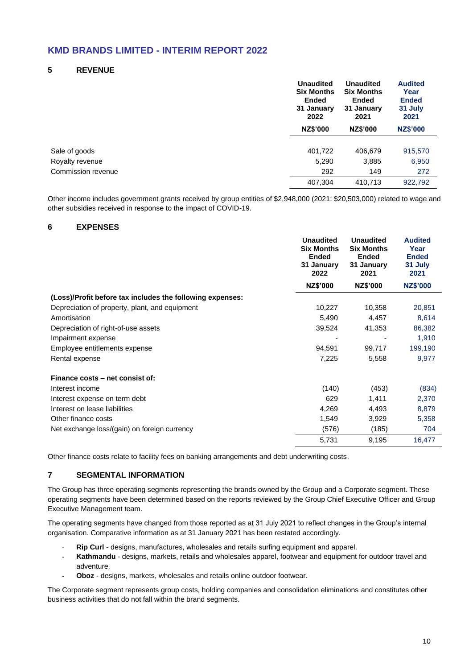#### **5 REVENUE**

|                    | <b>Unaudited</b><br><b>Six Months</b><br><b>Ended</b><br>31 January<br>2022 | <b>Unaudited</b><br><b>Six Months</b><br><b>Ended</b><br>31 January<br>2021 | <b>Audited</b><br>Year<br><b>Ended</b><br>31 July<br>2021 |
|--------------------|-----------------------------------------------------------------------------|-----------------------------------------------------------------------------|-----------------------------------------------------------|
|                    | <b>NZ\$'000</b>                                                             | <b>NZ\$'000</b>                                                             | <b>NZ\$'000</b>                                           |
| Sale of goods      | 401,722                                                                     | 406,679                                                                     | 915,570                                                   |
| Royalty revenue    | 5,290                                                                       | 3,885                                                                       | 6,950                                                     |
| Commission revenue | 292                                                                         | 149                                                                         | 272                                                       |
|                    | 407,304                                                                     | 410,713                                                                     | 922,792                                                   |

Other income includes government grants received by group entities of \$2,948,000 (2021: \$20,503,000) related to wage and other subsidies received in response to the impact of COVID-19.

#### **6 EXPENSES**

|                                                           | <b>Unaudited</b><br><b>Six Months</b><br>Ended<br>31 January<br>2022 | <b>Unaudited</b><br><b>Six Months</b><br><b>Ended</b><br>31 January<br>2021 | <b>Audited</b><br>Year<br><b>Ended</b><br>31 July<br>2021 |
|-----------------------------------------------------------|----------------------------------------------------------------------|-----------------------------------------------------------------------------|-----------------------------------------------------------|
|                                                           | NZ\$'000                                                             | NZ\$'000                                                                    | <b>NZ\$'000</b>                                           |
| (Loss)/Profit before tax includes the following expenses: |                                                                      |                                                                             |                                                           |
| Depreciation of property, plant, and equipment            | 10,227                                                               | 10,358                                                                      | 20,851                                                    |
| Amortisation                                              | 5,490                                                                | 4,457                                                                       | 8,614                                                     |
| Depreciation of right-of-use assets                       | 39,524                                                               | 41,353                                                                      | 86,382                                                    |
| Impairment expense                                        |                                                                      |                                                                             | 1,910                                                     |
| Employee entitlements expense                             | 94,591                                                               | 99,717                                                                      | 199,190                                                   |
| Rental expense                                            | 7,225                                                                | 5,558                                                                       | 9,977                                                     |
| Finance costs – net consist of:                           |                                                                      |                                                                             |                                                           |
| Interest income                                           | (140)                                                                | (453)                                                                       | (834)                                                     |
| Interest expense on term debt                             | 629                                                                  | 1,411                                                                       | 2,370                                                     |
| Interest on lease liabilities                             | 4,269                                                                | 4,493                                                                       | 8,879                                                     |
| Other finance costs                                       | 1,549                                                                | 3,929                                                                       | 5,358                                                     |
| Net exchange loss/(gain) on foreign currency              | (576)                                                                | (185)                                                                       | 704                                                       |
|                                                           | 5,731                                                                | 9,195                                                                       | 16,477                                                    |

Other finance costs relate to facility fees on banking arrangements and debt underwriting costs.

#### **7 SEGMENTAL INFORMATION**

The Group has three operating segments representing the brands owned by the Group and a Corporate segment. These operating segments have been determined based on the reports reviewed by the Group Chief Executive Officer and Group Executive Management team.

The operating segments have changed from those reported as at 31 July 2021 to reflect changes in the Group's internal organisation. Comparative information as at 31 January 2021 has been restated accordingly.

- **Rip Curl** designs, manufactures, wholesales and retails surfing equipment and apparel.
- Kathmandu designs, markets, retails and wholesales apparel, footwear and equipment for outdoor travel and adventure.
- Oboz designs, markets, wholesales and retails online outdoor footwear.

The Corporate segment represents group costs, holding companies and consolidation eliminations and constitutes other business activities that do not fall within the brand segments.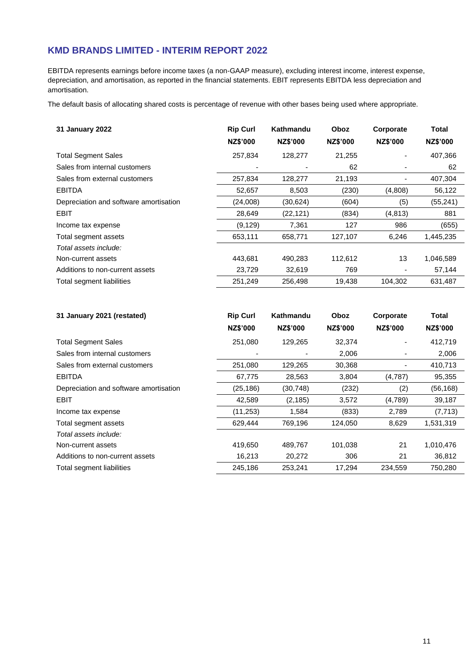EBITDA represents earnings before income taxes (a non-GAAP measure), excluding interest income, interest expense, depreciation, and amortisation, as reported in the financial statements. EBIT represents EBITDA less depreciation and amortisation.

The default basis of allocating shared costs is percentage of revenue with other bases being used where appropriate.

| 31 January 2022                        | <b>Rip Curl</b><br>NZ\$'000 | Kathmandu<br><b>NZ\$'000</b> | Oboz<br>NZ\$'000 | Corporate<br><b>NZ\$'000</b> | Total<br>NZ\$'000 |
|----------------------------------------|-----------------------------|------------------------------|------------------|------------------------------|-------------------|
| <b>Total Segment Sales</b>             | 257,834                     | 128,277                      | 21,255           |                              | 407,366           |
| Sales from internal customers          |                             |                              | 62               |                              | 62                |
| Sales from external customers          | 257,834                     | 128,277                      | 21,193           |                              | 407,304           |
| <b>EBITDA</b>                          | 52,657                      | 8,503                        | (230)            | (4,808)                      | 56,122            |
| Depreciation and software amortisation | (24,008)                    | (30, 624)                    | (604)            | (5)                          | (55, 241)         |
| <b>EBIT</b>                            | 28,649                      | (22, 121)                    | (834)            | (4, 813)                     | 881               |
| Income tax expense                     | (9, 129)                    | 7,361                        | 127              | 986                          | (655)             |
| Total segment assets                   | 653,111                     | 658,771                      | 127,107          | 6,246                        | 1,445,235         |
| Total assets include:                  |                             |                              |                  |                              |                   |
| Non-current assets                     | 443.681                     | 490.283                      | 112.612          | 13                           | 1,046,589         |
| Additions to non-current assets        | 23,729                      | 32,619                       | 769              |                              | 57,144            |
| Total segment liabilities              | 251,249                     | 256,498                      | 19,438           | 104,302                      | 631,487           |

| 31 January 2021 (restated)             | <b>Rip Curl</b> | Kathmandu       | Oboz     | Corporate                    | Total     |
|----------------------------------------|-----------------|-----------------|----------|------------------------------|-----------|
|                                        | <b>NZ\$'000</b> | <b>NZ\$'000</b> | NZ\$'000 | <b>NZ\$'000</b>              | NZ\$'000  |
| <b>Total Segment Sales</b>             | 251,080         | 129,265         | 32,374   |                              | 412,719   |
| Sales from internal customers          |                 |                 | 2,006    | $\qquad \qquad \blacksquare$ | 2,006     |
| Sales from external customers          | 251,080         | 129,265         | 30,368   | $\overline{\phantom{0}}$     | 410,713   |
| <b>EBITDA</b>                          | 67,775          | 28,563          | 3,804    | (4,787)                      | 95,355    |
| Depreciation and software amortisation | (25, 186)       | (30, 748)       | (232)    | (2)                          | (56, 168) |
| <b>EBIT</b>                            | 42,589          | (2, 185)        | 3,572    | (4,789)                      | 39,187    |
| Income tax expense                     | (11, 253)       | 1,584           | (833)    | 2,789                        | (7, 713)  |
| Total segment assets                   | 629,444         | 769,196         | 124,050  | 8,629                        | 1,531,319 |
| Total assets include:                  |                 |                 |          |                              |           |
| Non-current assets                     | 419,650         | 489,767         | 101,038  | 21                           | 1,010,476 |
| Additions to non-current assets        | 16,213          | 20,272          | 306      | 21                           | 36,812    |
| Total segment liabilities              | 245,186         | 253,241         | 17,294   | 234,559                      | 750,280   |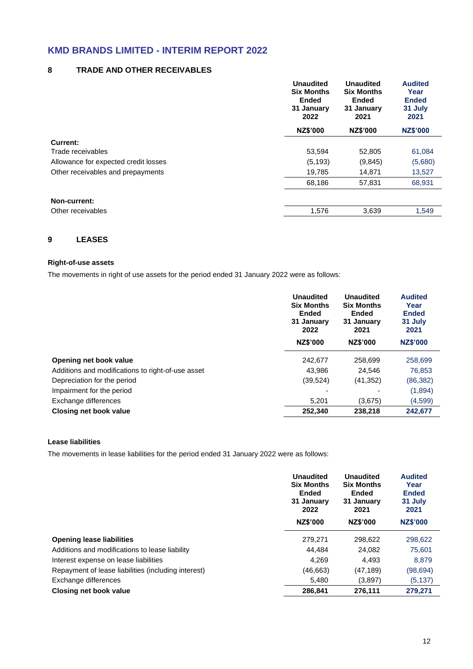#### **8 TRADE AND OTHER RECEIVABLES**

|                                      | <b>Unaudited</b><br><b>Six Months</b><br><b>Ended</b><br>31 January<br>2022 | <b>Unaudited</b><br><b>Six Months</b><br><b>Ended</b><br>31 January<br>2021 | <b>Audited</b><br>Year<br><b>Ended</b><br>31 July<br>2021 |
|--------------------------------------|-----------------------------------------------------------------------------|-----------------------------------------------------------------------------|-----------------------------------------------------------|
|                                      | NZ\$'000                                                                    | NZ\$'000                                                                    | <b>NZ\$'000</b>                                           |
| Current:                             |                                                                             |                                                                             |                                                           |
| Trade receivables                    | 53,594                                                                      | 52,805                                                                      | 61,084                                                    |
| Allowance for expected credit losses | (5, 193)                                                                    | (9,845)                                                                     | (5,680)                                                   |
| Other receivables and prepayments    | 19,785                                                                      | 14,871                                                                      | 13,527                                                    |
|                                      | 68,186                                                                      | 57,831                                                                      | 68,931                                                    |
| Non-current:                         |                                                                             |                                                                             |                                                           |
| Other receivables                    | 1,576                                                                       | 3,639                                                                       | 1,549                                                     |

#### **9 LEASES**

#### **Right-of-use assets**

The movements in right of use assets for the period ended 31 January 2022 were as follows:

|                                                   | <b>Unaudited</b><br><b>Six Months</b><br><b>Ended</b><br>31 January<br>2022 | <b>Unaudited</b><br><b>Six Months</b><br><b>Ended</b><br>31 January<br>2021 | <b>Audited</b><br>Year<br><b>Ended</b><br>31 July<br>2021 |
|---------------------------------------------------|-----------------------------------------------------------------------------|-----------------------------------------------------------------------------|-----------------------------------------------------------|
|                                                   | NZ\$'000                                                                    | NZ\$'000                                                                    | <b>NZ\$'000</b>                                           |
| Opening net book value                            | 242,677                                                                     | 258,699                                                                     | 258,699                                                   |
| Additions and modifications to right-of-use asset | 43.986                                                                      | 24,546                                                                      | 76,853                                                    |
| Depreciation for the period                       | (39, 524)                                                                   | (41, 352)                                                                   | (86,382)                                                  |
| Impairment for the period                         |                                                                             |                                                                             | (1,894)                                                   |
| Exchange differences                              | 5.201                                                                       | (3,675)                                                                     | (4,599)                                                   |
| Closing net book value                            | 252.340                                                                     | 238,218                                                                     | 242,677                                                   |

#### **Lease liabilities**

The movements in lease liabilities for the period ended 31 January 2022 were as follows:

|                                                     | Unaudited<br><b>Six Months</b><br><b>Ended</b><br>31 January<br>2022<br>NZ\$'000 | Unaudited<br><b>Six Months</b><br><b>Ended</b><br>31 January<br>2021<br><b>NZ\$'000</b> | <b>Audited</b><br>Year<br><b>Ended</b><br>31 July<br>2021<br><b>NZ\$'000</b> |
|-----------------------------------------------------|----------------------------------------------------------------------------------|-----------------------------------------------------------------------------------------|------------------------------------------------------------------------------|
| <b>Opening lease liabilities</b>                    | 279.271                                                                          | 298.622                                                                                 | 298,622                                                                      |
| Additions and modifications to lease liability      | 44.484                                                                           | 24,082                                                                                  | 75,601                                                                       |
| Interest expense on lease liabilities               | 4.269                                                                            | 4.493                                                                                   | 8,879                                                                        |
| Repayment of lease liabilities (including interest) | (46,663)                                                                         | (47, 189)                                                                               | (98.694)                                                                     |
| Exchange differences                                | 5,480                                                                            | (3,897)                                                                                 | (5, 137)                                                                     |
| Closing net book value                              | 286.841                                                                          | 276,111                                                                                 | 279,271                                                                      |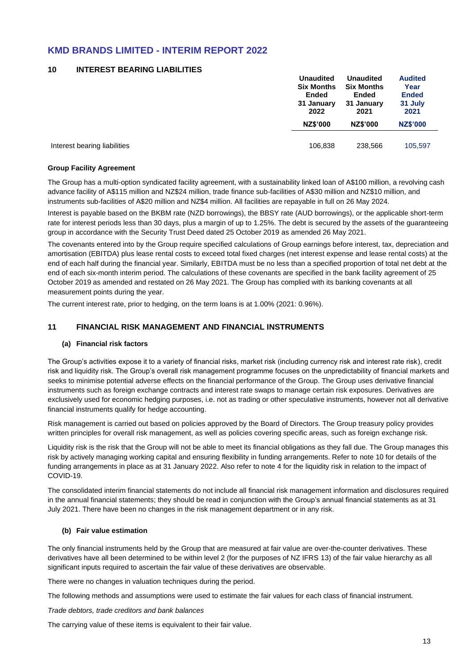#### **10 INTEREST BEARING LIABILITIES**

|                              | <b>Unaudited</b>  | <b>Unaudited</b>  | <b>Audited</b>  |
|------------------------------|-------------------|-------------------|-----------------|
|                              | <b>Six Months</b> | <b>Six Months</b> | Year            |
|                              | <b>Ended</b>      | Ended             | <b>Ended</b>    |
|                              | 31 January        | 31 January        | 31 July         |
|                              | 2022              | 2021              | 2021            |
|                              | <b>NZ\$'000</b>   | <b>NZ\$'000</b>   | <b>NZ\$'000</b> |
|                              |                   |                   |                 |
| Interest bearing liabilities | 106,838           | 238,566           | 105,597         |

#### **Group Facility Agreement**

The Group has a multi-option syndicated facility agreement, with a sustainability linked loan of A\$100 million, a revolving cash advance facility of A\$115 million and NZ\$24 million, trade finance sub-facilities of A\$30 million and NZ\$10 million, and instruments sub-facilities of A\$20 million and NZ\$4 million. All facilities are repayable in full on 26 May 2024.

Interest is payable based on the BKBM rate (NZD borrowings), the BBSY rate (AUD borrowings), or the applicable short-term rate for interest periods less than 30 days, plus a margin of up to 1.25%. The debt is secured by the assets of the guaranteeing group in accordance with the Security Trust Deed dated 25 October 2019 as amended 26 May 2021.

The covenants entered into by the Group require specified calculations of Group earnings before interest, tax, depreciation and amortisation (EBITDA) plus lease rental costs to exceed total fixed charges (net interest expense and lease rental costs) at the end of each half during the financial year. Similarly, EBITDA must be no less than a specified proportion of total net debt at the end of each six-month interim period. The calculations of these covenants are specified in the bank facility agreement of 25 October 2019 as amended and restated on 26 May 2021. The Group has complied with its banking covenants at all measurement points during the year.

The current interest rate, prior to hedging, on the term loans is at 1.00% (2021: 0.96%).

#### **11 FINANCIAL RISK MANAGEMENT AND FINANCIAL INSTRUMENTS**

#### **(a) Financial risk factors**

The Group's activities expose it to a variety of financial risks, market risk (including currency risk and interest rate risk), credit risk and liquidity risk. The Group's overall risk management programme focuses on the unpredictability of financial markets and seeks to minimise potential adverse effects on the financial performance of the Group. The Group uses derivative financial instruments such as foreign exchange contracts and interest rate swaps to manage certain risk exposures. Derivatives are exclusively used for economic hedging purposes, i.e. not as trading or other speculative instruments, however not all derivative financial instruments qualify for hedge accounting.

Risk management is carried out based on policies approved by the Board of Directors. The Group treasury policy provides written principles for overall risk management, as well as policies covering specific areas, such as foreign exchange risk.

Liquidity risk is the risk that the Group will not be able to meet its financial obligations as they fall due. The Group manages this risk by actively managing working capital and ensuring flexibility in funding arrangements. Refer to note 10 for details of the funding arrangements in place as at 31 January 2022. Also refer to note 4 for the liquidity risk in relation to the impact of COVID-19.

The consolidated interim financial statements do not include all financial risk management information and disclosures required in the annual financial statements; they should be read in conjunction with the Group's annual financial statements as at 31 July 2021. There have been no changes in the risk management department or in any risk.

#### **(b) Fair value estimation**

The only financial instruments held by the Group that are measured at fair value are over-the-counter derivatives. These derivatives have all been determined to be within level 2 (for the purposes of NZ IFRS 13) of the fair value hierarchy as all significant inputs required to ascertain the fair value of these derivatives are observable.

There were no changes in valuation techniques during the period.

The following methods and assumptions were used to estimate the fair values for each class of financial instrument.

*Trade debtors, trade creditors and bank balances*

The carrying value of these items is equivalent to their fair value.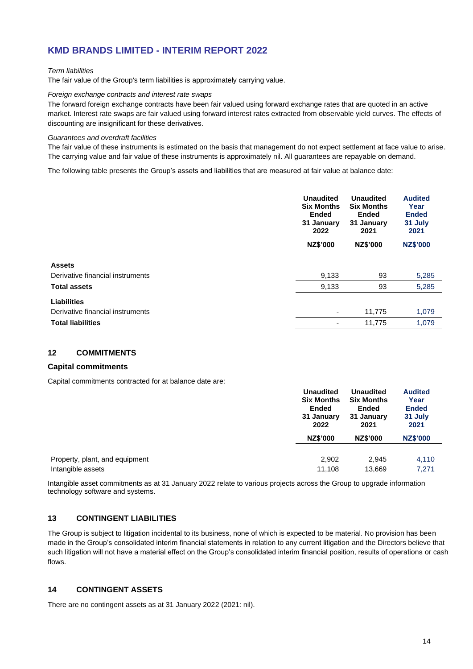#### *Term liabilities*

The fair value of the Group's term liabilities is approximately carrying value.

#### *Foreign exchange contracts and interest rate swaps*

The forward foreign exchange contracts have been fair valued using forward exchange rates that are quoted in an active market. Interest rate swaps are fair valued using forward interest rates extracted from observable yield curves. The effects of discounting are insignificant for these derivatives.

#### *Guarantees and overdraft facilities*

The fair value of these instruments is estimated on the basis that management do not expect settlement at face value to arise. The carrying value and fair value of these instruments is approximately nil. All guarantees are repayable on demand.

The following table presents the Group's assets and liabilities that are measured at fair value at balance date:

|                                  | <b>Unaudited</b><br><b>Six Months</b><br><b>Ended</b><br>31 January<br>2022<br><b>NZ\$'000</b> | <b>Unaudited</b><br><b>Six Months</b><br><b>Ended</b><br>31 January<br>2021<br>NZ\$'000 | <b>Audited</b><br>Year<br><b>Ended</b><br>31 July<br>2021<br><b>NZ\$'000</b> |
|----------------------------------|------------------------------------------------------------------------------------------------|-----------------------------------------------------------------------------------------|------------------------------------------------------------------------------|
|                                  |                                                                                                |                                                                                         |                                                                              |
| <b>Assets</b>                    |                                                                                                |                                                                                         |                                                                              |
| Derivative financial instruments | 9,133                                                                                          | 93                                                                                      | 5,285                                                                        |
| <b>Total assets</b>              | 9,133                                                                                          | 93                                                                                      | 5,285                                                                        |
| <b>Liabilities</b>               |                                                                                                |                                                                                         |                                                                              |
| Derivative financial instruments | ۰                                                                                              | 11,775                                                                                  | 1,079                                                                        |
| <b>Total liabilities</b>         |                                                                                                | 11,775                                                                                  | 1,079                                                                        |
|                                  |                                                                                                |                                                                                         |                                                                              |

#### **12 COMMITMENTS**

#### **Capital commitments**

Capital commitments contracted for at balance date are:

|                                | <b>Unaudited</b><br><b>Six Months</b><br>Ended<br>31 January<br>2022 | <b>Unaudited</b><br><b>Six Months</b><br><b>Ended</b><br>31 January<br>2021 | <b>Audited</b><br>Year<br><b>Ended</b><br>31 July<br>2021 |
|--------------------------------|----------------------------------------------------------------------|-----------------------------------------------------------------------------|-----------------------------------------------------------|
|                                | <b>NZ\$'000</b>                                                      | <b>NZ\$'000</b>                                                             | <b>NZ\$'000</b>                                           |
| Property, plant, and equipment | 2,902                                                                | 2,945                                                                       | 4,110                                                     |
| Intangible assets              | 11.108                                                               | 13,669                                                                      | 7.271                                                     |

Intangible asset commitments as at 31 January 2022 relate to various projects across the Group to upgrade information technology software and systems.

#### **13 CONTINGENT LIABILITIES**

The Group is subject to litigation incidental to its business, none of which is expected to be material. No provision has been made in the Group's consolidated interim financial statements in relation to any current litigation and the Directors believe that such litigation will not have a material effect on the Group's consolidated interim financial position, results of operations or cash flows.

#### **14 CONTINGENT ASSETS**

There are no contingent assets as at 31 January 2022 (2021: nil).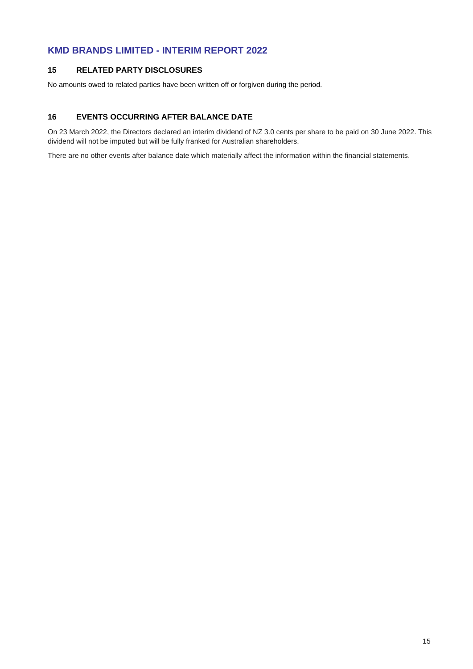#### **15 RELATED PARTY DISCLOSURES**

No amounts owed to related parties have been written off or forgiven during the period.

#### **16 EVENTS OCCURRING AFTER BALANCE DATE**

On 23 March 2022, the Directors declared an interim dividend of NZ 3.0 cents per share to be paid on 30 June 2022. This dividend will not be imputed but will be fully franked for Australian shareholders.

There are no other events after balance date which materially affect the information within the financial statements.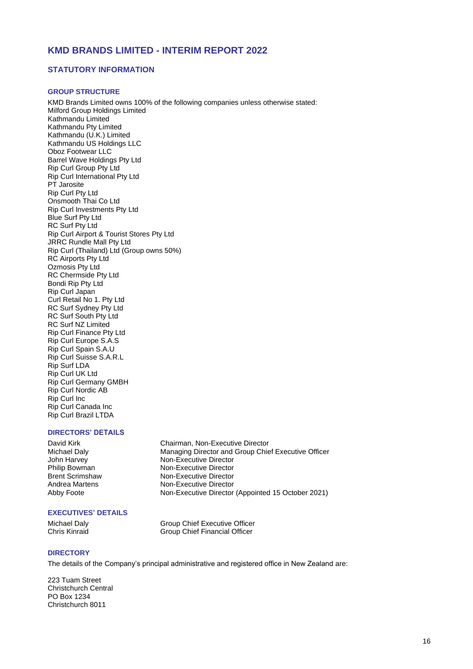#### **STATUTORY INFORMATION**

#### **GROUP STRUCTURE**

KMD Brands Limited owns 100% of the following companies unless otherwise stated: Milford Group Holdings Limited Kathmandu Limited Kathmandu Pty Limited Kathmandu (U.K.) Limited Kathmandu US Holdings LLC Oboz Footwear LLC Barrel Wave Holdings Pty Ltd Rip Curl Group Pty Ltd Rip Curl International Pty Ltd PT Jarosite Rip Curl Pty Ltd Onsmooth Thai Co Ltd Rip Curl Investments Pty Ltd Blue Surf Pty Ltd RC Surf Pty Ltd Rip Curl Airport & Tourist Stores Pty Ltd JRRC Rundle Mall Pty Ltd Rip Curl (Thailand) Ltd (Group owns 50%) RC Airports Pty Ltd Ozmosis Pty Ltd RC Chermside Pty Ltd Bondi Rip Pty Ltd Rip Curl Japan Curl Retail No 1. Pty Ltd RC Surf Sydney Pty Ltd RC Surf South Pty Ltd RC Surf NZ Limited Rip Curl Finance Pty Ltd Rip Curl Europe S.A.S Rip Curl Spain S.A.U Rip Curl Suisse S.A.R.L Rip Surf LDA Rip Curl UK Ltd Rip Curl Germany GMBH Rip Curl Nordic AB Rip Curl Inc Rip Curl Canada Inc

#### **DIRECTORS' DETAILS**

Rip Curl Brazil LTDA

David Kirk Chairman, Non-Executive Director<br>Michael Daly Chairman, Non-Executive Director<br>Managing Director and Group Chie Michael Daly **Managing Director and Group Chief Executive Officer**<br>
John Harvey **Mon-Executive Director** Non-Executive Director Philip Bowman Non-Executive Director<br>
Brent Scrimshaw Non-Executive Director Brent Scrimshaw **Non-Executive Director**<br>Andrea Martens **Non-Executive Director** Non-Executive Director Abby Foote Non-Executive Director (Appointed 15 October 2021)

#### **EXECUTIVES' DETAILS**

Michael Daly **Group Chief Executive Officer**<br>
Group Chief Financial Officer<br>
Group Chief Financial Officer Group Chief Financial Officer

#### **DIRECTORY**

The details of the Company's principal administrative and registered office in New Zealand are:

223 Tuam Street Christchurch Central PO Box 1234 Christchurch 8011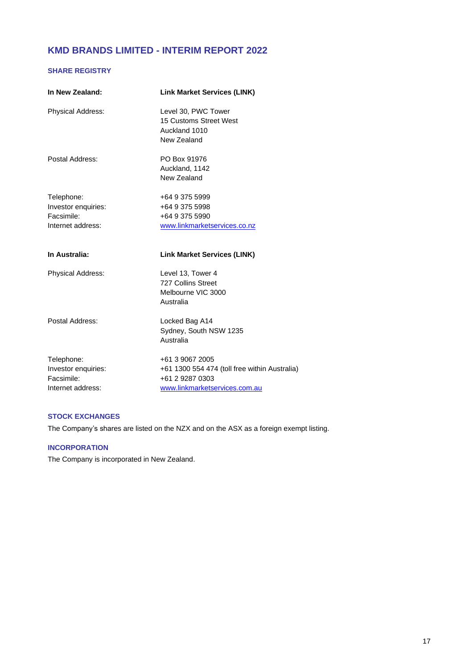#### **SHARE REGISTRY**

| In New Zealand:                                                      | <b>Link Market Services (LINK)</b>                                                 |
|----------------------------------------------------------------------|------------------------------------------------------------------------------------|
| Physical Address:                                                    | Level 30, PWC Tower<br>15 Customs Street West<br>Auckland 1010<br>New Zealand      |
| Postal Address:                                                      | PO Box 91976<br>Auckland, 1142<br>New Zealand                                      |
| Telephone:<br>Investor enquiries:<br>Facsimile:<br>Internet address: | +64 9 375 5999<br>+64 9 375 5998<br>+64 9 375 5990<br>www.linkmarketservices.co.nz |
| In Australia:                                                        | <b>Link Market Services (LINK)</b>                                                 |
| Physical Address:                                                    | Level 13, Tower 4<br>727 Collins Street<br>Melbourne VIC 3000<br>Australia         |
| Postal Address:                                                      | Locked Bag A14<br>Sydney, South NSW 1235<br>Australia                              |
| Telephone:<br>Investor enquiries:<br>Facsimile:                      | +61 3 9067 2005<br>+61 1300 554 474 (toll free within Australia)                   |

#### **STOCK EXCHANGES**

The Company's shares are listed on the NZX and on the ASX as a foreign exempt listing.

#### **INCORPORATION**

The Company is incorporated in New Zealand.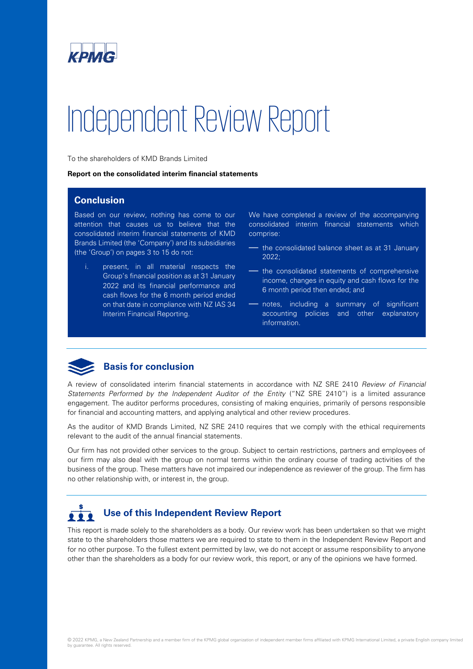

# Independent Review Report

To the shareholders of KMD Brands Limited

**Report on the consolidated interim financial statements**

#### **Conclusion**

Based on our review, nothing has come to our attention that causes us to believe that the consolidated interim financial statements of KMD Brands Limited (the 'Company') and its subsidiaries (the 'Group') on pages 3 to 15 do not:

i. present, in all material respects the Group's financial position as at 31 January 2022 and its financial performance and cash flows for the 6 month period ended on that date in compliance with NZ IAS 34 Interim Financial Reporting.

We have completed a review of the accompanying consolidated interim financial statements which comprise:

- the consolidated balance sheet as at 31 January 2022;
- the consolidated statements of comprehensive income, changes in equity and cash flows for the 6 month period then ended; and
- notes, including a summary of significant accounting policies and other explanatory information.



#### **Basis for conclusion**

A review of consolidated interim financial statements in accordance with NZ SRE 2410 *Review of Financial Statements Performed by the Independent Auditor of the Entity* ("NZ SRE 2410") is a limited assurance engagement. The auditor performs procedures, consisting of making enquiries, primarily of persons responsible for financial and accounting matters, and applying analytical and other review procedures.

As the auditor of KMD Brands Limited, NZ SRE 2410 requires that we comply with the ethical requirements relevant to the audit of the annual financial statements.

Our firm has not provided other services to the group. Subject to certain restrictions, partners and employees of our firm may also deal with the group on normal terms within the ordinary course of trading activities of the business of the group. These matters have not impaired our independence as reviewer of the group. The firm has no other relationship with, or interest in, the group.

#### **Use of this Independent Review Report**  $222$

This report is made solely to the shareholders as a body. Our review work has been undertaken so that we might state to the shareholders those matters we are required to state to them in the Independent Review Report and for no other purpose. To the fullest extent permitted by law, we do not accept or assume responsibility to anyone other than the shareholders as a body for our review work, this report, or any of the opinions we have formed.